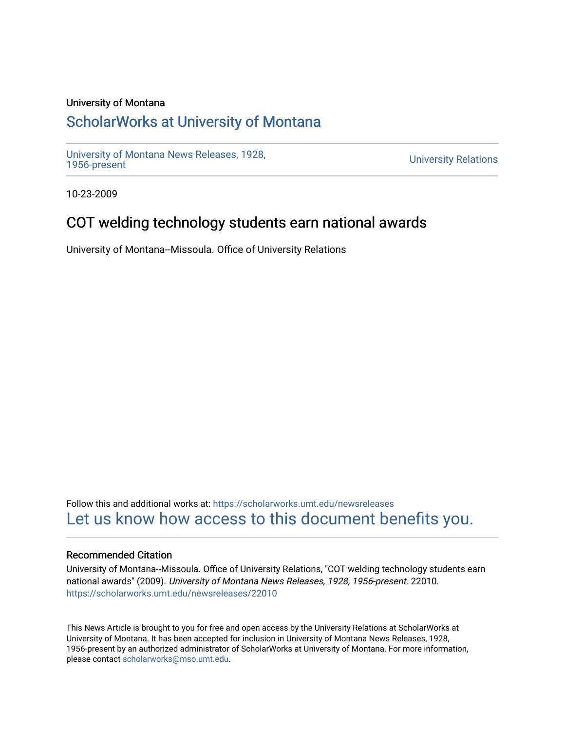### University of Montana

# [ScholarWorks at University of Montana](https://scholarworks.umt.edu/)

[University of Montana News Releases, 1928,](https://scholarworks.umt.edu/newsreleases) 

**University Relations** 

10-23-2009

# COT welding technology students earn national awards

University of Montana--Missoula. Office of University Relations

Follow this and additional works at: [https://scholarworks.umt.edu/newsreleases](https://scholarworks.umt.edu/newsreleases?utm_source=scholarworks.umt.edu%2Fnewsreleases%2F22010&utm_medium=PDF&utm_campaign=PDFCoverPages) [Let us know how access to this document benefits you.](https://goo.gl/forms/s2rGfXOLzz71qgsB2) 

### Recommended Citation

University of Montana--Missoula. Office of University Relations, "COT welding technology students earn national awards" (2009). University of Montana News Releases, 1928, 1956-present. 22010. [https://scholarworks.umt.edu/newsreleases/22010](https://scholarworks.umt.edu/newsreleases/22010?utm_source=scholarworks.umt.edu%2Fnewsreleases%2F22010&utm_medium=PDF&utm_campaign=PDFCoverPages) 

This News Article is brought to you for free and open access by the University Relations at ScholarWorks at University of Montana. It has been accepted for inclusion in University of Montana News Releases, 1928, 1956-present by an authorized administrator of ScholarWorks at University of Montana. For more information, please contact [scholarworks@mso.umt.edu.](mailto:scholarworks@mso.umt.edu)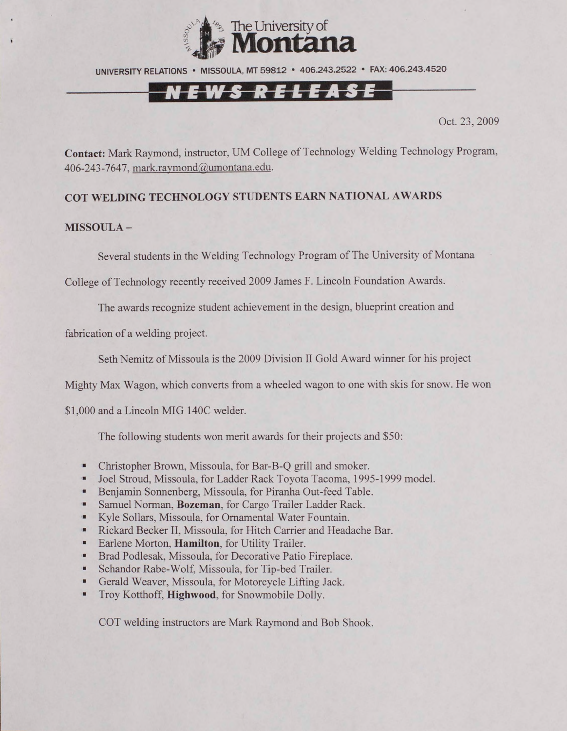

UNIVERSITY RELATIONS • MISSOULA. MT 59812 • 406.243.2522 • FAX: 406.243.4520

## <u>NEWS RELEASE</u>

Oct. 23, 2009

**Contact:** Mark Raymond, instructor, UM College of Technology Welding Technology Program. 406-243-7647, mark.raymond@umontana.edu.

#### **COT WELDING TECHNOLOGY STUDENTS EARN NATIONAL AWARDS**

#### **MISSOULA -**

Several students in the Welding Technology Program of The University of Montana

College of Technology recently received 2009 James F. Lincoln Foundation Awards.

The awards recognize student achievement in the design, blueprint creation and

fabrication of a welding project.

Seth Nemitz of Missoula is the 2009 Division II Gold Award winner for his project

Mighty Max Wagon, which converts from a wheeled wagon to one with skis for snow. He won

\$1,000 and a Lincoln MIG 140C welder.

The following students won merit awards for their projects and \$50:

- Christopher Brown, Missoula, for Bar-B-Q grill and smoker.
- Joel Stroud, Missoula, for Ladder Rack Toyota Tacoma, 1995-1999 model.
- Benjamin Sonnenberg, Missoula, for Piranha Out-feed Table.
- Samuel Norman. **Bozeman,** for Cargo Trailer Ladder Rack.
- Kyle Sollars, Missoula, for Ornamental Water Fountain.
- Rickard Becker II, Missoula, for Hitch Carrier and Headache Bar.
- Earlene Morton. **Hamilton,** for Utility Trailer.
- Brad Podlesak, Missoula, for Decorative Patio Fireplace.
- Schandor Rabe-Wolf, Missoula, for Tip-bed Trailer.
- Gerald Weaver, Missoula, for Motorcycle Lifting Jack.
- Troy Kotthoff, **Highwood,** for Snowmobile Dolly.

COT welding instructors are Mark Raymond and Bob Shook.